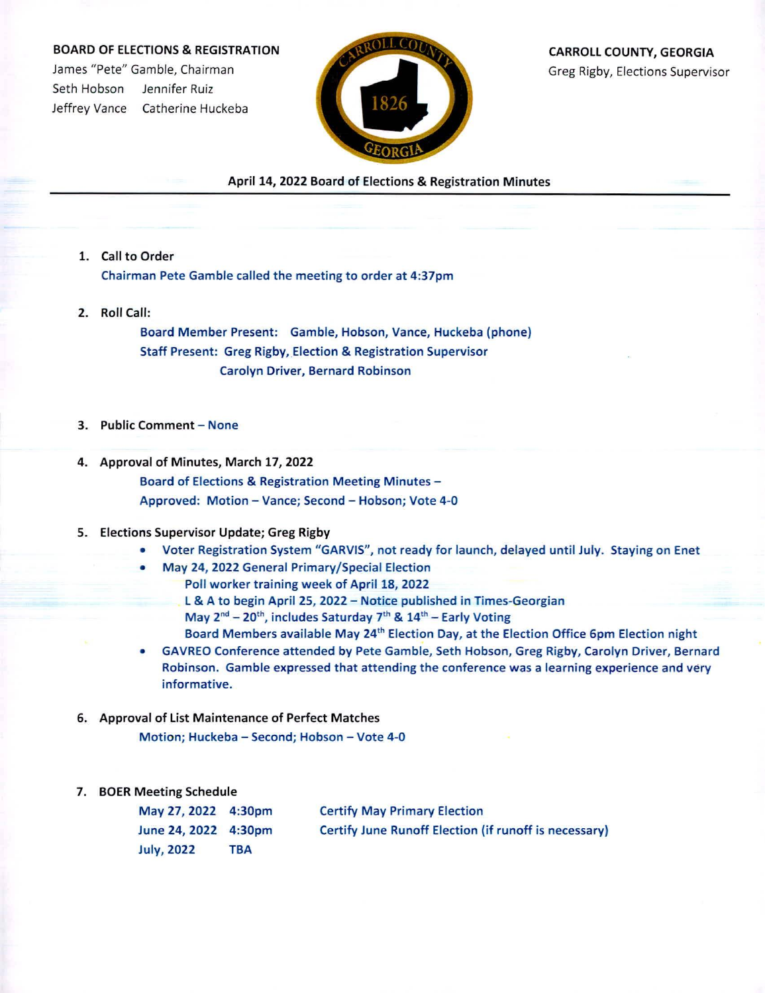## BOARD OF ELECTIONS & REGISTRATION

James "Pete" Gamble, Chairman Seth Hobson Jennifer Ruiz Jeffrey Vance Catherine Huckeba



CARROLL COUNTY, GEORGIA Greg Rigby, Elections Supervisor

April 14, 2022 Board of Elections & Registration Minutes

- 1. Call to Order Chairman Pete Gamble called the meeting to order at 4:37pm
- 2. Roll Call:

Board Member Present: Gamble, Hobson, Vance, Huckeba (phone) Staff Present: Greg Rigby, Election & Registration Supervisor Carolyn Driver, Bernard Robinson

- 3. Public Comment None
- 4. Approval of Minutes, March 17, 2022 Board of Elections & Registration Meeting Minutes - Approved: Motion - Vance; Second - Hobson; Vote 4-0

## 5. Elections Supervisor Update; Greg Rigby

- Voter Registration System "GARVIS", not ready for launch, delayed until July. Staying on Enet
- May 24, 2022 General Primary/Special Election
	- Poll worker training week of April 18, 2022

L & A to begin April 25, 2022 - Notice published in Times-Georgian May  $2^{nd}$  – 20<sup>th</sup>, includes Saturday 7<sup>th</sup> &  $14^{th}$  – Early Voting Board Members available May 24<sup>th</sup> Election Day, at the Election Office 6pm Election night

- GAVREO Conference attended by Pete Gamble, Seth Hobson, Greg Rigby, Carolyn Driver, Bernard Robinson. Gamble expressed that attending the conference was <sup>a</sup> learning experience and very informative.
- 6. Approval of List Maintenance of Perfect Matches

Motion; Huckeba - Second; Hobson - Vote 4-0

## 7. BOER Meeting Schedule

May 27, 2022 4:30pm June 24, 2022 4:30pm July, 2022 TBA Certify May Primary Election Certify June Runoff Election (if runoff is necessary)